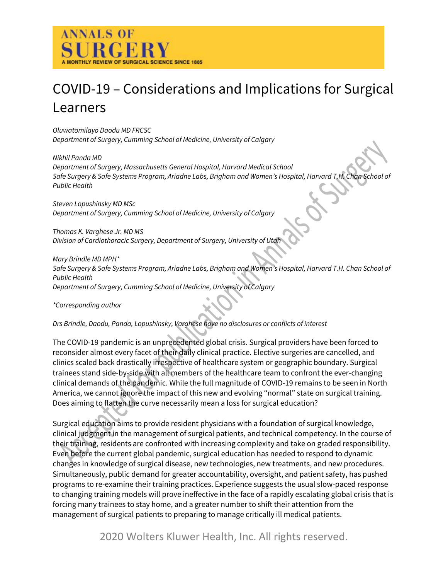

# COVID-19 – Considerations and Implications for Surgical Learners

*Oluwatomilayo Daodu MD FRCSC Department of Surgery, Cumming School of Medicine, University of Calgary*

*Nikhil Panda MD Department of Surgery, Massachusetts General Hospital, Harvard Medical School Safe Surgery & Safe Systems Program, Ariadne Labs, Brigham and Women's Hospital, Harvard T.H. Chan School of Public Health*

*Steven Lopushinsky MD MSc Department of Surgery, Cumming School of Medicine, University of Calgary*

*Thomas K. Varghese Jr. MD MS Division of Cardiothoracic Surgery, Department of Surgery, University of Utah*

*Mary Brindle MD MPH\* Safe Surgery & Safe Systems Program, Ariadne Labs, Brigham and Women's Hospital, Harvard T.H. Chan School of Public Health Department of Surgery, Cumming School of Medicine, University of Calgary*

*\*Corresponding author*

*Drs Brindle, Daodu, Panda, Lopushinsky, Varghese have no disclosures or conflicts of interest*

The COVID-19 pandemic is an unprecedented global crisis. Surgical providers have been forced to reconsider almost every facet of their daily clinical practice. Elective surgeries are cancelled, and clinics scaled back drastically irrespective of healthcare system or geographic boundary. Surgical trainees stand side-by-side with all members of the healthcare team to confront the ever-changing clinical demands of the pandemic. While the full magnitude of COVID-19 remains to be seen in North America, we cannot ignore the impact of this new and evolving "normal" state on surgical training. Does aiming to flatten the curve necessarily mean a loss for surgical education?

Surgical education aims to provide resident physicians with a foundation of surgical knowledge, clinical judgment in the management of surgical patients, and technical competency. In the course of their training, residents are confronted with increasing complexity and take on graded responsibility. Even before the current global pandemic, surgical education has needed to respond to dynamic changes in knowledge of surgical disease, new technologies, new treatments, and new procedures. Simultaneously, public demand for greater accountability, oversight, and patient safety, has pushed programs to re-examine their training practices. Experience suggests the usual slow-paced response to changing training models will prove ineffective in the face of a rapidly escalating global crisis that is forcing many trainees to stay home, and a greater number to shift their attention from the management of surgical patients to preparing to manage critically ill medical patients.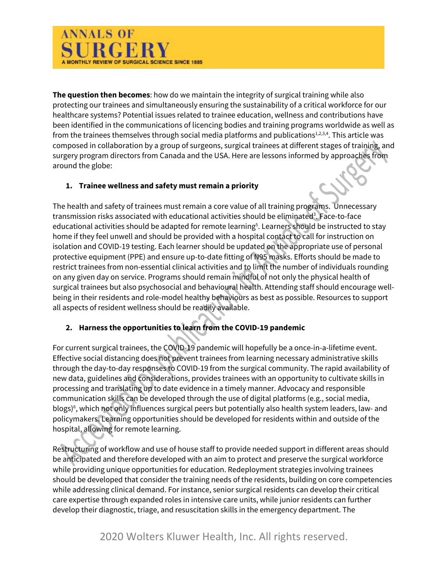

**The question then becomes**: how do we maintain the integrity of surgical training while also protecting our trainees and simultaneously ensuring the sustainability of a critical workforce for our healthcare systems? Potential issues related to trainee education, wellness and contributions have been identified in the communications of licencing bodies and training programs worldwide as well as from the trainees themselves through social media platforms and publications $1,2,3,4$ . This article was composed in collaboration by a group of surgeons, surgical trainees at different stages of training, and surgery program directors from Canada and the USA. Here are lessons informed by approaches from around the globe:

### **1. Trainee wellness and safety must remain a priority**

The health and safety of trainees must remain a core value of all training programs. Unnecessary transmission risks associated with educational activities should be eliminated<sup>3</sup>. Face-to-face educational activities should be adapted for remote learning<sup>5</sup>. Learners should be instructed to stay home if they feel unwell and should be provided with a hospital contact to call for instruction on isolation and COVID-19 testing. Each learner should be updated on the appropriate use of personal protective equipment (PPE) and ensure up-to-date fitting of N95 masks. Efforts should be made to restrict trainees from non-essential clinical activities and to limit the number of individuals rounding on any given day on service. Programs should remain mindful of not only the physical health of surgical trainees but also psychosocial and behavioural health. Attending staff should encourage wellbeing in their residents and role-model healthy behaviours as best as possible. Resources to support all aspects of resident wellness should be readily available.

## **2. Harness the opportunities to learn from the COVID-19 pandemic**

For current surgical trainees, the COVID-19 pandemic will hopefully be a once-in-a-lifetime event. Effective social distancing does not prevent trainees from learning necessary administrative skills through the day-to-day responses to COVID-19 from the surgical community. The rapid availability of new data, guidelines and considerations, provides trainees with an opportunity to cultivate skills in processing and translating up to date evidence in a timely manner. Advocacy and responsible communication skills can be developed through the use of digital platforms (e.g., social media, blogs)<sup>6</sup>, which not only influences surgical peers but potentially also health system leaders, law- and policymakers. Learning opportunities should be developed for residents within and outside of the hospital, allowing for remote learning.

Restructuring of workflow and use of house staff to provide needed support in different areas should be anticipated and therefore developed with an aim to protect and preserve the surgical workforce while providing unique opportunities for education. Redeployment strategies involving trainees should be developed that consider the training needs of the residents, building on core competencies while addressing clinical demand. For instance, senior surgical residents can develop their critical care expertise through expanded roles in intensive care units, while junior residents can further develop their diagnostic, triage, and resuscitation skills in the emergency department. The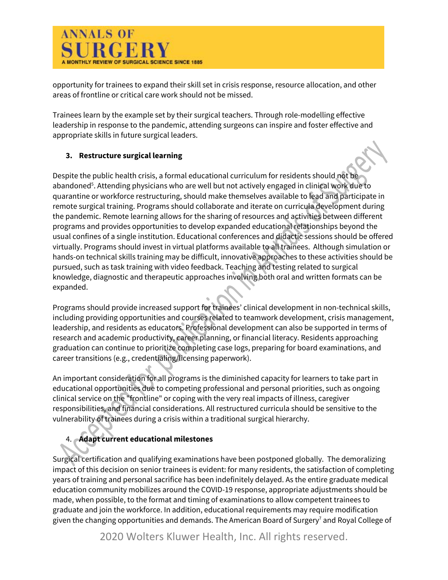

opportunity for trainees to expand their skill set in crisis response, resource allocation, and other areas of frontline or critical care work should not be missed.

Trainees learn by the example set by their surgical teachers. Through role-modelling effective leadership in response to the pandemic, attending surgeons can inspire and foster effective and appropriate skills in future surgical leaders.

## **3. Restructure surgical learning**

Despite the public health crisis, a formal educational curriculum for residents should not be abandoned<sup>5</sup>. Attending physicians who are well but not actively engaged in clinical work due to quarantine or workforce restructuring, should make themselves available to lead and participate in remote surgical training. Programs should collaborate and iterate on curricula development during the pandemic. Remote learning allows for the sharing of resources and activities between different programs and provides opportunities to develop expanded educational relationships beyond the usual confines of a single institution. Educational conferences and didactic sessions should be offered virtually. Programs should invest in virtual platforms available to all trainees. Although simulation or hands-on technical skills training may be difficult, innovative approaches to these activities should be pursued, such as task training with video feedback. Teaching and testing related to surgical knowledge, diagnostic and therapeutic approaches involving both oral and written formats can be expanded.

Programs should provide increased support for trainees' clinical development in non-technical skills, including providing opportunities and courses related to teamwork development, crisis management, leadership, and residents as educators. Professional development can also be supported in terms of research and academic productivity, career planning, or financial literacy. Residents approaching graduation can continue to prioritize completing case logs, preparing for board examinations, and career transitions (e.g., credentialing/licensing paperwork).

An important consideration for all programs is the diminished capacity for learners to take part in educational opportunities due to competing professional and personal priorities, such as ongoing clinical service on the "frontline" or coping with the very real impacts of illness, caregiver responsibilities, and financial considerations. All restructured curricula should be sensitive to the vulnerability of trainees during a crisis within a traditional surgical hierarchy.

## 4. **Adapt current educational milestones**

Surgical certification and qualifying examinations have been postponed globally. The demoralizing impact of this decision on senior trainees is evident: for many residents, the satisfaction of completing years of training and personal sacrifice has been indefinitely delayed. As the entire graduate medical education community mobilizes around the COVID-19 response, appropriate adjustments should be made, when possible, to the format and timing of examinations to allow competent trainees to graduate and join the workforce. In addition, educational requirements may require modification given the changing opportunities and demands. The American Board of Surgery<sup>7</sup> and Royal College of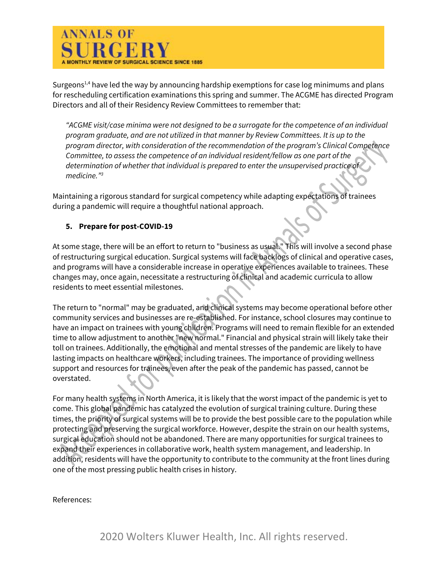

Surgeons<sup>1,4</sup> have led the way by announcing hardship exemptions for case log minimums and plans for rescheduling certification examinations this spring and summer. The ACGME has directed Program Directors and all of their Residency Review Committees to remember that:

*"ACGME visit/case minima were not designed to be a surrogate for the competence of an individual program graduate, and are not utilized in that manner by Review Committees. It is up to the program director, with consideration of the recommendation of the program's Clinical Competence Committee, to assess the competence of an individual resident/fellow as one part of the determination of whether that individual is prepared to enter the unsupervised practice of medicine."3*

Maintaining a rigorous standard for surgical competency while adapting expectations of trainees during a pandemic will require a thoughtful national approach.

### **5. Prepare for post-COVID-19**

At some stage, there will be an effort to return to "business as usual." This will involve a second phase of restructuring surgical education. Surgical systems will face backlogs of clinical and operative cases, and programs will have a considerable increase in operative experiences available to trainees. These changes may, once again, necessitate a restructuring of clinical and academic curricula to allow residents to meet essential milestones.

The return to "normal" may be graduated, and clinical systems may become operational before other community services and businesses are re-established. For instance, school closures may continue to have an impact on trainees with young children. Programs will need to remain flexible for an extended time to allow adjustment to another "new normal." Financial and physical strain will likely take their toll on trainees. Additionally, the emotional and mental stresses of the pandemic are likely to have lasting impacts on healthcare workers, including trainees. The importance of providing wellness support and resources for trainees, even after the peak of the pandemic has passed, cannot be overstated.

For many health systems in North America, it is likely that the worst impact of the pandemic is yet to come. This global pandemic has catalyzed the evolution of surgical training culture. During these times, the priority of surgical systems will be to provide the best possible care to the population while protecting and preserving the surgical workforce. However, despite the strain on our health systems, surgical education should not be abandoned. There are many opportunities for surgical trainees to expand their experiences in collaborative work, health system management, and leadership. In addition, residents will have the opportunity to contribute to the community at the front lines during one of the most pressing public health crises in history.

References: